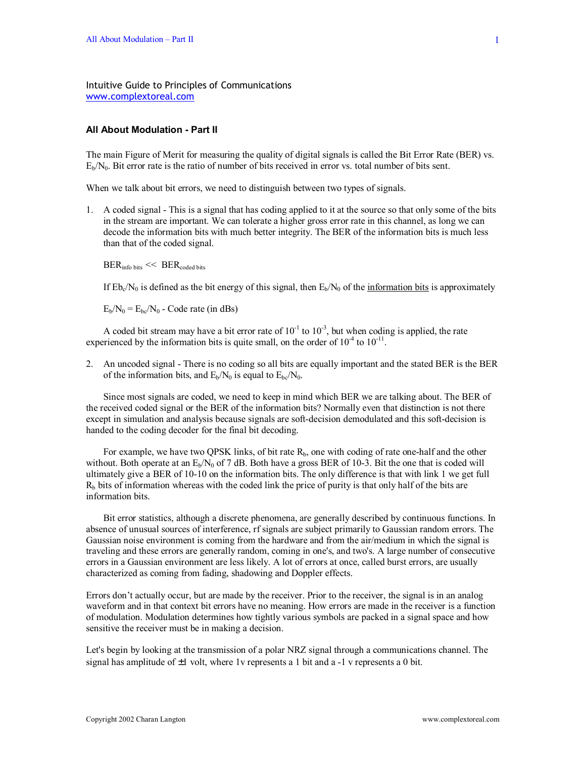Intuitive Guide to Principles of Communications www.complextoreal.com

# **All About Modulation - Part II**

The main Figure of Merit for measuring the quality of digital signals is called the Bit Error Rate (BER) vs.  $E_b/N_0$ . Bit error rate is the ratio of number of bits received in error vs. total number of bits sent.

When we talk about bit errors, we need to distinguish between two types of signals.

1. A coded signal - This is a signal that has coding applied to it at the source so that only some of the bits in the stream are important. We can tolerate a higher gross error rate in this channel, as long we can decode the information bits with much better integrity. The BER of the information bits is much less than that of the coded signal.

 $BER<sub>info bits</sub> < BER<sub>coded bits</sub>$ 

If Eb<sub>c</sub>/N<sub>0</sub> is defined as the bit energy of this signal, then  $E_b/N_0$  of the information bits is approximately

 $E_b/N_0 = E_{bc}/N_0$  - Code rate (in dBs)

A coded bit stream may have a bit error rate of  $10^{-1}$  to  $10^{-3}$ , but when coding is applied, the rate experienced by the information bits is quite small, on the order of  $10^{-4}$  to  $10^{-11}$ .

2. An uncoded signal - There is no coding so all bits are equally important and the stated BER is the BER of the information bits, and  $E_b/N_0$  is equal to  $E_{bc}/N_0$ .

Since most signals are coded, we need to keep in mind which BER we are talking about. The BER of the received coded signal or the BER of the information bits? Normally even that distinction is not there except in simulation and analysis because signals are soft-decision demodulated and this soft-decision is handed to the coding decoder for the final bit decoding.

For example, we have two QPSK links, of bit rate  $R<sub>b</sub>$ , one with coding of rate one-half and the other without. Both operate at an  $E_b/N_0$  of 7 dB. Both have a gross BER of 10-3. Bit the one that is coded will ultimately give a BER of 10-10 on the information bits. The only difference is that with link 1 we get full  $R_b$  bits of information whereas with the coded link the price of purity is that only half of the bits are information bits.

Bit error statistics, although a discrete phenomena, are generally described by continuous functions. In absence of unusual sources of interference, rf signals are subject primarily to Gaussian random errors. The Gaussian noise environment is coming from the hardware and from the air/medium in which the signal is traveling and these errors are generally random, coming in one's, and two's. A large number of consecutive errors in a Gaussian environment are less likely. A lot of errors at once, called burst errors, are usually characterized as coming from fading, shadowing and Doppler effects.

Errors don't actually occur, but are made by the receiver. Prior to the receiver, the signal is in an analog waveform and in that context bit errors have no meaning. How errors are made in the receiver is a function of modulation. Modulation determines how tightly various symbols are packed in a signal space and how sensitive the receiver must be in making a decision.

Let's begin by looking at the transmission of a polar NRZ signal through a communications channel. The signal has amplitude of  $\pm 1$  volt, where 1v represents a 1 bit and a -1 v represents a 0 bit.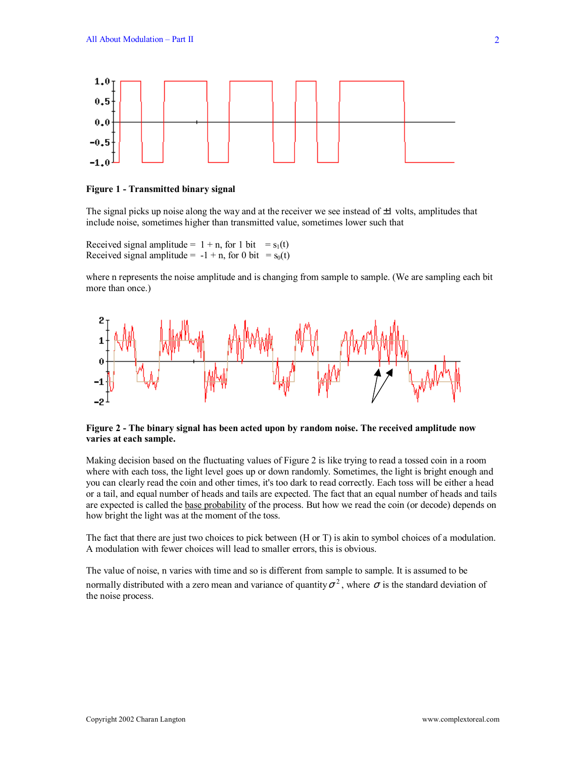

### **Figure 1 - Transmitted binary signal**

The signal picks up noise along the way and at the receiver we see instead of  $\pm 1$  volts, amplitudes that include noise, sometimes higher than transmitted value, sometimes lower such that

Received signal amplitude =  $1 + n$ , for 1 bit =  $s_1(t)$ Received signal amplitude =  $-1 + n$ , for 0 bit =  $s_0(t)$ 

where n represents the noise amplitude and is changing from sample to sample. (We are sampling each bit more than once.)



### **Figure 2 - The binary signal has been acted upon by random noise. The received amplitude now varies at each sample.**

Making decision based on the fluctuating values of Figure 2 is like trying to read a tossed coin in a room where with each toss, the light level goes up or down randomly. Sometimes, the light is bright enough and you can clearly read the coin and other times, it's too dark to read correctly. Each toss will be either a head or a tail, and equal number of heads and tails are expected. The fact that an equal number of heads and tails are expected is called the base probability of the process. But how we read the coin (or decode) depends on how bright the light was at the moment of the toss.

The fact that there are just two choices to pick between (H or T) is akin to symbol choices of a modulation. A modulation with fewer choices will lead to smaller errors, this is obvious.

The value of noise, n varies with time and so is different from sample to sample. It is assumed to be normally distributed with a zero mean and variance of quantity  $\sigma^2$ , where  $\sigma$  is the standard deviation of the noise process.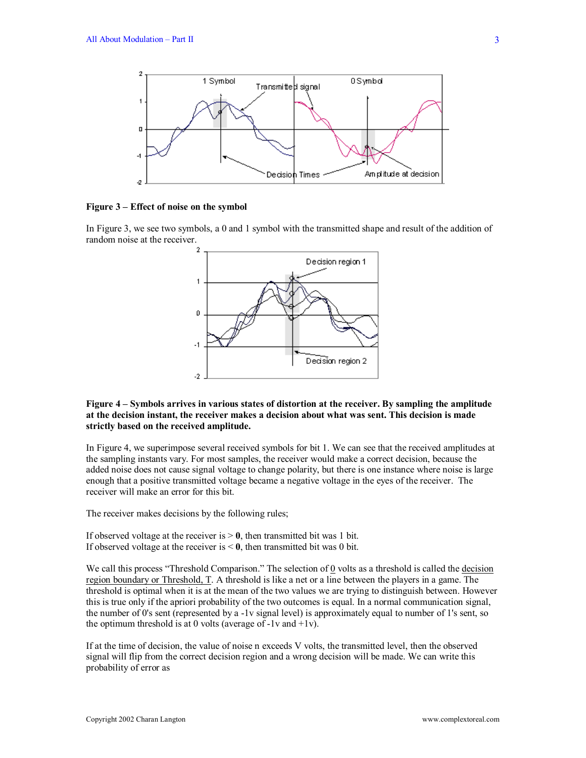

Figure 3 – Effect of noise on the symbol

In Figure 3, we see two symbols, a 0 and 1 symbol with the transmitted shape and result of the addition of random noise at the receiver.



# Figure 4 – Symbols arrives in various states of distortion at the receiver. By sampling the amplitude **at the decision instant, the receiver makes a decision about what was sent. This decision is made strictly based on the received amplitude.**

In Figure 4, we superimpose several received symbols for bit 1. We can see that the received amplitudes at the sampling instants vary. For most samples, the receiver would make a correct decision, because the added noise does not cause signal voltage to change polarity, but there is one instance where noise is large enough that a positive transmitted voltage became a negative voltage in the eyes of the receiver. The receiver will make an error for this bit.

The receiver makes decisions by the following rules;

If observed voltage at the receiver is  $> 0$ , then transmitted bit was 1 bit. If observed voltage at the receiver is < **0**, then transmitted bit was 0 bit.

We call this process "Threshold Comparison." The selection of  $\Omega$  volts as a threshold is called the decision region boundary or Threshold, T. A threshold is like a net or a line between the players in a game. The threshold is optimal when it is at the mean of the two values we are trying to distinguish between. However this is true only if the apriori probability of the two outcomes is equal. In a normal communication signal, the number of 0's sent (represented by a -1v signal level) is approximately equal to number of 1's sent, so the optimum threshold is at 0 volts (average of  $-1v$  and  $+1v$ ).

If at the time of decision, the value of noise n exceeds V volts, the transmitted level, then the observed signal will flip from the correct decision region and a wrong decision will be made. We can write this probability of error as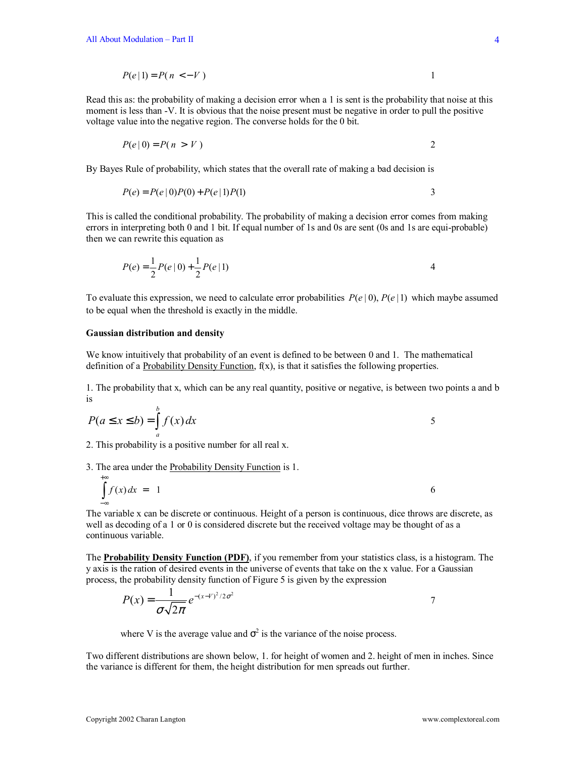$$
P(e|1) = P(n < -V) \tag{1}
$$

Read this as: the probability of making a decision error when a 1 is sent is the probability that noise at this moment is less than -V. It is obvious that the noise present must be negative in order to pull the positive voltage value into the negative region. The converse holds for the 0 bit.

$$
P(e \mid 0) = P(n > V)
$$

By Bayes Rule of probability, which states that the overall rate of making a bad decision is

$$
P(e) = P(e | 0)P(0) + P(e | 1)P(1)
$$

This is called the conditional probability. The probability of making a decision error comes from making errors in interpreting both 0 and 1 bit. If equal number of 1s and 0s are sent (0s and 1s are equi-probable) then we can rewrite this equation as

$$
P(e) = \frac{1}{2} P(e \mid 0) + \frac{1}{2} P(e \mid 1)
$$

To evaluate this expression, we need to calculate error probabilities  $P(e|0)$ ,  $P(e|1)$  which maybe assumed to be equal when the threshold is exactly in the middle.

#### **Gaussian distribution and density**

We know intuitively that probability of an event is defined to be between 0 and 1. The mathematical definition of a Probability Density Function,  $f(x)$ , is that it satisfies the following properties.

1. The probability that x, which can be any real quantity, positive or negative, is between two points a and b is *b*

$$
P(a \le x \le b) = \int_{a}^{b} f(x) dx
$$

2. This probability is a positive number for all real x.

3. The area under the Probability Density Function is 1.

$$
\int_{-\infty}^{+\infty} f(x) \, dx = 1 \tag{6}
$$

The variable x can be discrete or continuous. Height of a person is continuous, dice throws are discrete, as well as decoding of a 1 or 0 is considered discrete but the received voltage may be thought of as a continuous variable.

The **Probability Density Function (PDF)**, if you remember from your statistics class, is a histogram. The y axis is the ration of desired events in the universe of events that take on the x value. For a Gaussian process, the probability density function of Figure 5 is given by the expression

$$
P(x) = \frac{1}{\sigma\sqrt{2\pi}}e^{-(x-V)^2/2\sigma^2}
$$

where V is the average value and  $\sigma^2$  is the variance of the noise process.

Two different distributions are shown below, 1. for height of women and 2. height of men in inches. Since the variance is different for them, the height distribution for men spreads out further.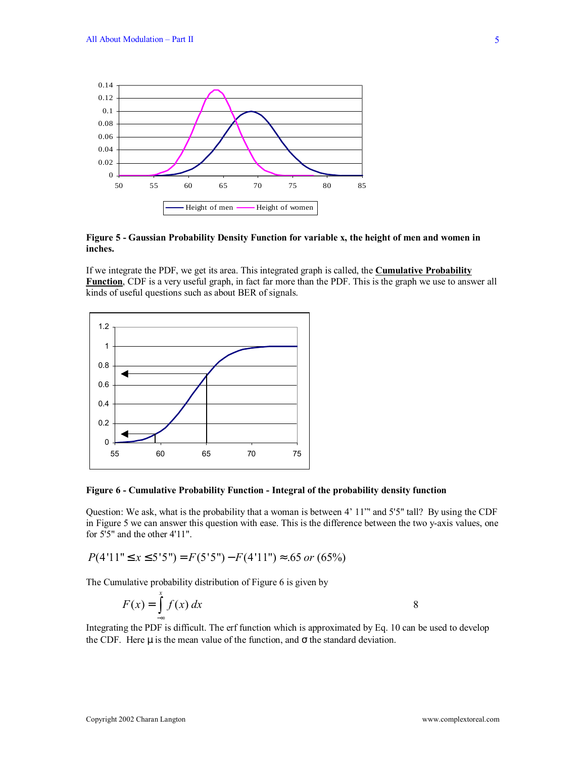

**Figure 5 - Gaussian Probability Density Function for variable x, the height of men and women in inches.** 

If we integrate the PDF, we get its area. This integrated graph is called, the **Cumulative Probability Function**, CDF is a very useful graph, in fact far more than the PDF. This is the graph we use to answer all kinds of useful questions such as about BER of signals.



**Figure 6 - Cumulative Probability Function - Integral of the probability density function** 

Question: We ask, what is the probability that a woman is between 4' 11" and 5'5" tall? By using the CDF in Figure 5 we can answer this question with ease. This is the difference between the two y-axis values, one for 5'5" and the other 4'11".

$$
P(4'11" \le x \le 5'5") = F(5'5") - F(4'11") \approx .65 \text{ or } (65\%)
$$

The Cumulative probability distribution of Figure 6 is given by

$$
F(x) = \int_{-\infty}^{x} f(x) \, dx \tag{8}
$$

Integrating the PDF is difficult. The erf function which is approximated by Eq. 10 can be used to develop the CDF. Here  $\mu$  is the mean value of the function, and  $\sigma$  the standard deviation.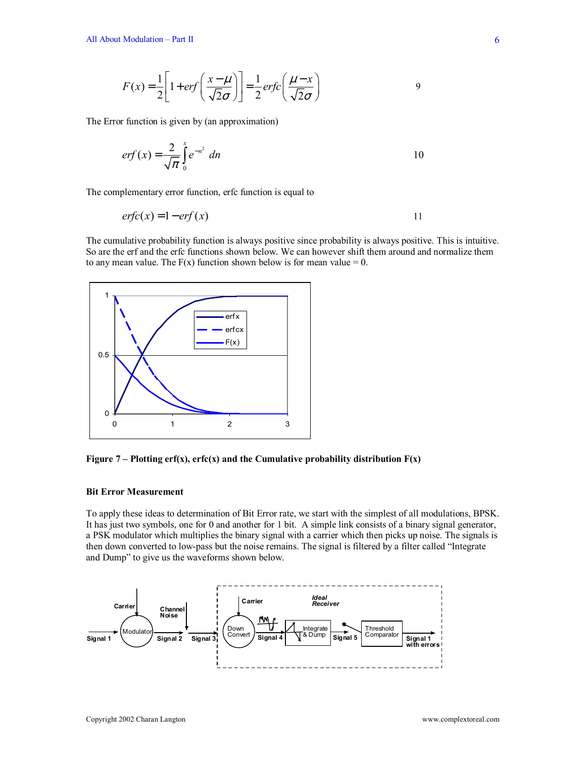$$
F(x) = \frac{1}{2} \left[ 1 + erf\left(\frac{x - \mu}{\sqrt{2}\sigma}\right) \right] = \frac{1}{2} erfc\left(\frac{\mu - x}{\sqrt{2}\sigma}\right)
$$

The Error function is given by (an approximation)

$$
erf(x) = \frac{2}{\sqrt{\pi}} \int_{0}^{x} e^{-n^2} dn
$$

The complementary error function, erfc function is equal to

$$
erfc(x) = 1 - erf(x)
$$

The cumulative probability function is always positive since probability is always positive. This is intuitive. So are the erf and the erfc functions shown below. We can however shift them around and normalize them to any mean value. The  $F(x)$  function shown below is for mean value = 0.



Figure 7 – Plotting erf(x), erfc(x) and the Cumulative probability distribution  $F(x)$ 

#### **Bit Error Measurement**

To apply these ideas to determination of Bit Error rate, we start with the simplest of all modulations, BPSK. It has just two symbols, one for 0 and another for 1 bit. A simple link consists of a binary signal generator, a PSK modulator which multiplies the binary signal with a carrier which then picks up noise. The signals is then down converted to low-pass but the noise remains. The signal is filtered by a filter called "Integrate" and Dump" to give us the waveforms shown below.

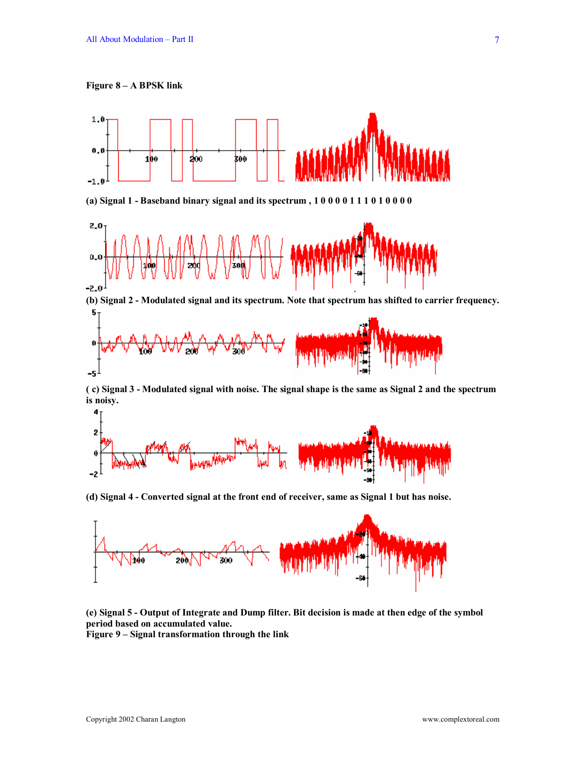**Figure 8 – A BPSK link** 



**( c) Signal 3 - Modulated signal with noise. The signal shape is the same as Signal 2 and the spectrum is noisy.** 



**(d) Signal 4 - Converted signal at the front end of receiver, same as Signal 1 but has noise.** 



**(e) Signal 5 - Output of Integrate and Dump filter. Bit decision is made at then edge of the symbol period based on accumulated value.** 

Figure 9 – Signal transformation through the link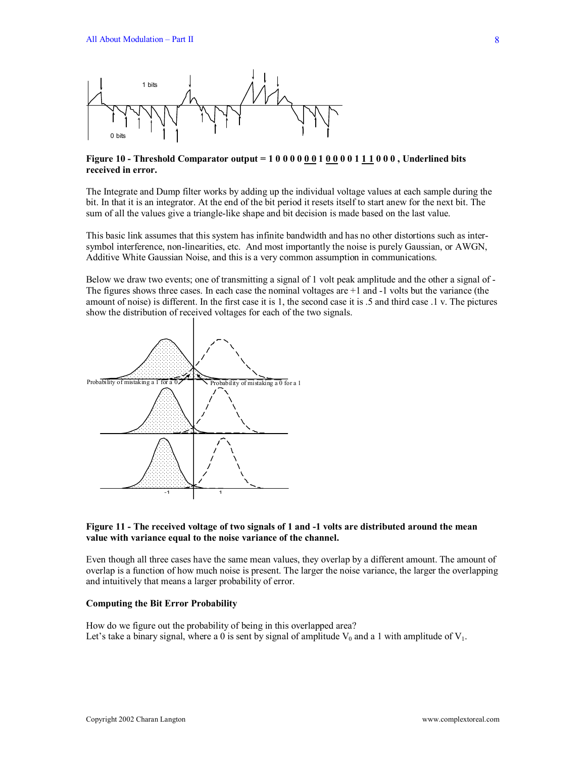

# **Figure 10 - Threshold Comparator output = 1 0 0 0 0 0 0 1 0 0 0 0 1 1 1 0 0 0 , Underlined bits received in error.**

The Integrate and Dump filter works by adding up the individual voltage values at each sample during the bit. In that it is an integrator. At the end of the bit period it resets itself to start anew for the next bit. The sum of all the values give a triangle-like shape and bit decision is made based on the last value.

This basic link assumes that this system has infinite bandwidth and has no other distortions such as intersymbol interference, non-linearities, etc. And most importantly the noise is purely Gaussian, or AWGN, Additive White Gaussian Noise, and this is a very common assumption in communications.

Below we draw two events; one of transmitting a signal of 1 volt peak amplitude and the other a signal of - The figures shows three cases. In each case the nominal voltages are +1 and -1 volts but the variance (the amount of noise) is different. In the first case it is 1, the second case it is .5 and third case .1 v. The pictures show the distribution of received voltages for each of the two signals.



# **Figure 11 - The received voltage of two signals of 1 and -1 volts are distributed around the mean value with variance equal to the noise variance of the channel.**

Even though all three cases have the same mean values, they overlap by a different amount. The amount of overlap is a function of how much noise is present. The larger the noise variance, the larger the overlapping and intuitively that means a larger probability of error.

#### **Computing the Bit Error Probability**

How do we figure out the probability of being in this overlapped area? Let's take a binary signal, where a 0 is sent by signal of amplitude  $V_0$  and a 1 with amplitude of  $V_1$ .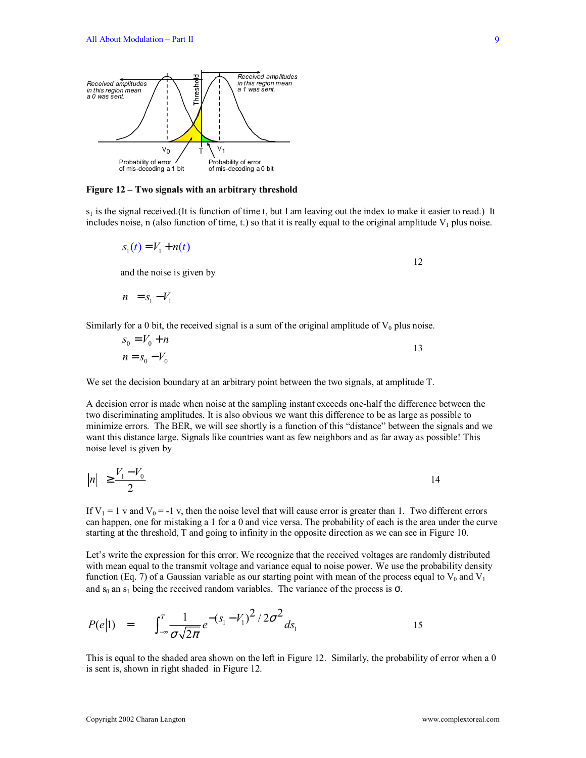

#### Figure 12 – Two signals with an arbitrary threshold

 $s_1$  is the signal received.(It is function of time t, but I am leaving out the index to make it easier to read.) It includes noise, n (also function of time, t.) so that it is really equal to the original amplitude  $V_1$  plus noise.

 $s_1(t) = V_1 + n(t)$ 

and the noise is given by

 $n = s_1 - V_1$ 

Similarly for a 0 bit, the received signal is a sum of the original amplitude of  $V_0$  plus noise.

$$
s_0 = V_0 + n
$$
  

$$
n = s_0 - V_0
$$

We set the decision boundary at an arbitrary point between the two signals, at amplitude T.

A decision error is made when noise at the sampling instant exceeds one-half the difference between the two discriminating amplitudes. It is also obvious we want this difference to be as large as possible to minimize errors. The BER, we will see shortly is a function of this "distance" between the signals and we want this distance large. Signals like countries want as few neighbors and as far away as possible! This noise level is given by

$$
|n| \ge \frac{V_1 - V_0}{2} \tag{14}
$$

If  $V_1 = 1$  v and  $V_0 = -1$  v, then the noise level that will cause error is greater than 1. Two different errors can happen, one for mistaking a 1 for a 0 and vice versa. The probability of each is the area under the curve starting at the threshold, T and going to infinity in the opposite direction as we can see in Figure 10.

Let's write the expression for this error. We recognize that the received voltages are randomly distributed with mean equal to the transmit voltage and variance equal to noise power. We use the probability density function (Eq. 7) of a Gaussian variable as our starting point with mean of the process equal to  $V_0$  and  $V_1$ and  $s_0$  an  $s_1$  being the received random variables. The variance of the process is  $\sigma$ .

$$
P(e|1) = \int_{-\infty}^{T} \frac{1}{\sigma \sqrt{2\pi}} e^{-(S_1 - V_1)^2 / 2\sigma^2} ds_1
$$

This is equal to the shaded area shown on the left in Figure 12. Similarly, the probability of error when a 0 is sent is, shown in right shaded in Figure 12.

12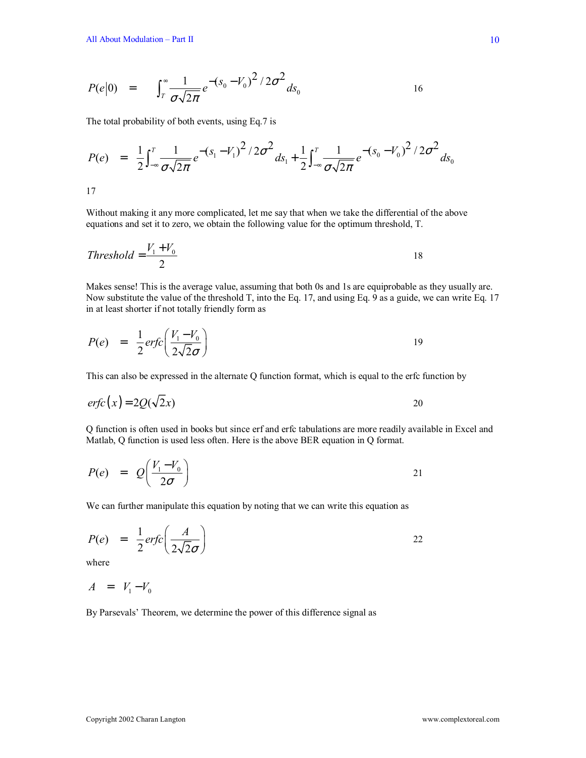$$
P(e|0) = \int_{T}^{\infty} \frac{1}{\sigma \sqrt{2\pi}} e^{-(S_0 - V_0)^2 / 2\sigma^2} ds_0
$$

The total probability of both events, using Eq.7 is

$$
P(e) = \frac{1}{2} \int_{-\infty}^{T} \frac{1}{\sigma \sqrt{2\pi}} e^{-(S_1 - V_1)^2 / 2\sigma^2} ds_1 + \frac{1}{2} \int_{-\infty}^{T} \frac{1}{\sigma \sqrt{2\pi}} e^{-(S_0 - V_0)^2 / 2\sigma^2} ds_0
$$

Without making it any more complicated, let me say that when we take the differential of the above equations and set it to zero, we obtain the following value for the optimum threshold, T.

$$
Threshold = \frac{V_1 + V_0}{2}
$$

Makes sense! This is the average value, assuming that both 0s and 1s are equiprobable as they usually are. Now substitute the value of the threshold T, into the Eq. 17, and using Eq. 9 as a guide, we can write Eq. 17 in at least shorter if not totally friendly form as

$$
P(e) = \frac{1}{2} erfc\left(\frac{V_1 - V_0}{2\sqrt{2}\sigma}\right)
$$

This can also be expressed in the alternate Q function format, which is equal to the erfc function by

$$
erfc(x) = 2Q(\sqrt{2}x)
$$

Q function is often used in books but since erf and erfc tabulations are more readily available in Excel and Matlab, Q function is used less often. Here is the above BER equation in Q format.

$$
P(e) = Q\left(\frac{V_1 - V_0}{2\sigma}\right) \tag{21}
$$

We can further manipulate this equation by noting that we can write this equation as

$$
P(e) = \frac{1}{2} erfc\left(\frac{A}{2\sqrt{2}\sigma}\right)
$$

where

$$
A = V_1 - V_0
$$

By Parsevals' Theorem, we determine the power of this difference signal as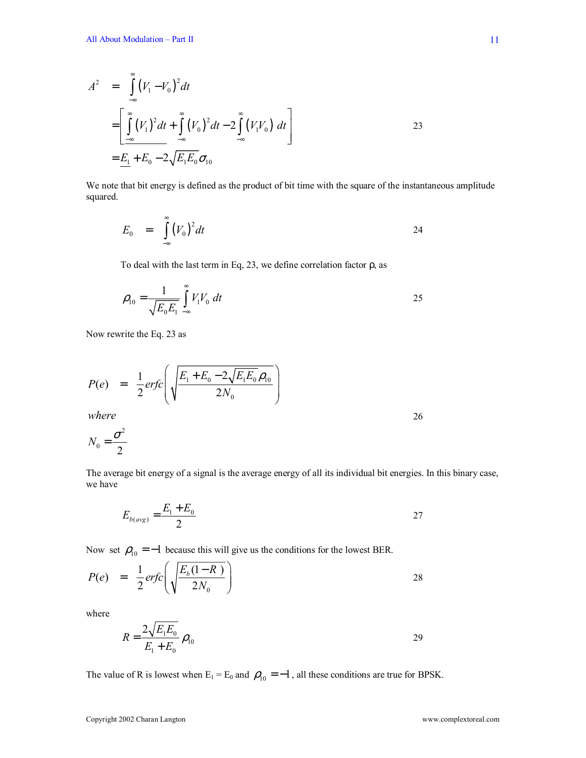$$
A^{2} = \int_{-\infty}^{\infty} (V_{1} - V_{0})^{2} dt
$$
  
= 
$$
\left[ \int_{-\infty}^{\infty} (V_{1})^{2} dt + \int_{-\infty}^{\infty} (V_{0})^{2} dt - 2 \int_{-\infty}^{\infty} (V_{1}V_{0}) dt \right]
$$
  
= 
$$
\underline{E_{1}} + E_{0} - 2\sqrt{E_{1}E_{0}} \sigma_{10}
$$

We note that bit energy is defined as the product of bit time with the square of the instantaneous amplitude squared.

$$
E_0 = \int_{-\infty}^{\infty} (V_0)^2 dt
$$

To deal with the last term in Eq, 23, we define correlation factor ρ, as

$$
\rho_{10} = \frac{1}{\sqrt{E_0 E_1}} \int_{-\infty}^{\infty} V_1 V_0 dt
$$

Now rewrite the Eq. 23 as

$$
P(e) = \frac{1}{2} erfc\left(\sqrt{\frac{E_1 + E_0 - 2\sqrt{E_1 E_0} \rho_{10}}{2N_0}}\right)
$$
  
where  

$$
N_0 = \frac{\sigma^2}{2}
$$

The average bit energy of a signal is the average energy of all its individual bit energies. In this binary case, we have

$$
E_{b(\text{avg})} = \frac{E_1 + E_0}{2} \tag{27}
$$

Now set  $\rho_{10} = -1$  because this will give us the conditions for the lowest BER.

$$
P(e) = \frac{1}{2} erfc\left(\sqrt{\frac{E_b(1-R)}{2N_0}}\right)
$$

where

$$
R = \frac{2\sqrt{E_1 E_0}}{E_1 + E_0} \rho_{10}
$$

The value of R is lowest when  $E_1 = E_0$  and  $\rho_{10} = -1$ , all these conditions are true for BPSK.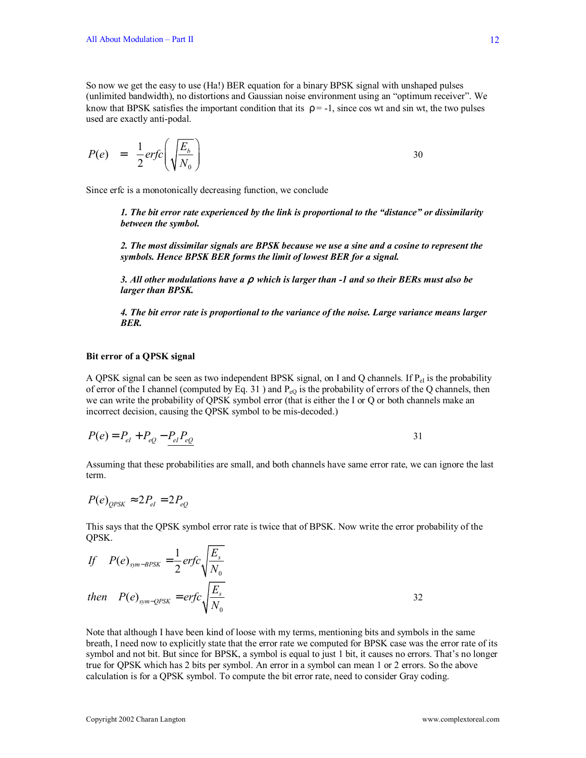So now we get the easy to use (Ha!) BER equation for a binary BPSK signal with unshaped pulses (unlimited bandwidth), no distortions and Gaussian noise environment using an "optimum receiver". We know that BPSK satisfies the important condition that its  $\rho = -1$ , since cos wt and sin wt, the two pulses used are exactly anti-podal.

$$
P(e) = \frac{1}{2} erfc\left(\sqrt{\frac{E_b}{N_0}}\right)
$$

Since erfc is a monotonically decreasing function, we conclude

*1. The bit error rate experienced by the link is proportional to the "distance" or dissimilarity between the symbol.* 

*2. The most dissimilar signals are BPSK because we use a sine and a cosine to represent the symbols. Hence BPSK BER forms the limit of lowest BER for a signal.* 

*3. All other modulations have a* ρ *which is larger than -1 and so their BERs must also be larger than BPSK.* 

*4. The bit error rate is proportional to the variance of the noise. Large variance means larger BER.* 

#### **Bit error of a QPSK signal**

A QPSK signal can be seen as two independent BPSK signal, on I and Q channels. If  $P_{el}$  is the probability of error of the I channel (computed by Eq. 31) and  $P_{eQ}$  is the probability of errors of the Q channels, then we can write the probability of QPSK symbol error (that is either the I or Q or both channels make an incorrect decision, causing the QPSK symbol to be mis-decoded.)

$$
P(e) = P_{el} + P_{eQ} - \frac{P_{el}P_{eQ}}{P}
$$

Assuming that these probabilities are small, and both channels have same error rate, we can ignore the last term.

$$
P(e)_{QPSK} \approx 2P_{el} = 2P_{eQ}
$$

This says that the QPSK symbol error rate is twice that of BPSK. Now write the error probability of the QPSK.

If 
$$
P(e)_{sym-BPSK} = \frac{1}{2} erfc \sqrt{\frac{E_s}{N_0}}
$$
  
then  $P(e)_{sym-QPSK} = erfc \sqrt{\frac{E_s}{N_0}}$  32

Note that although I have been kind of loose with my terms, mentioning bits and symbols in the same breath, I need now to explicitly state that the error rate we computed for BPSK case was the error rate of its symbol and not bit. But since for BPSK, a symbol is equal to just 1 bit, it causes no errors. That's no longer true for QPSK which has 2 bits per symbol. An error in a symbol can mean 1 or 2 errors. So the above calculation is for a QPSK symbol. To compute the bit error rate, need to consider Gray coding.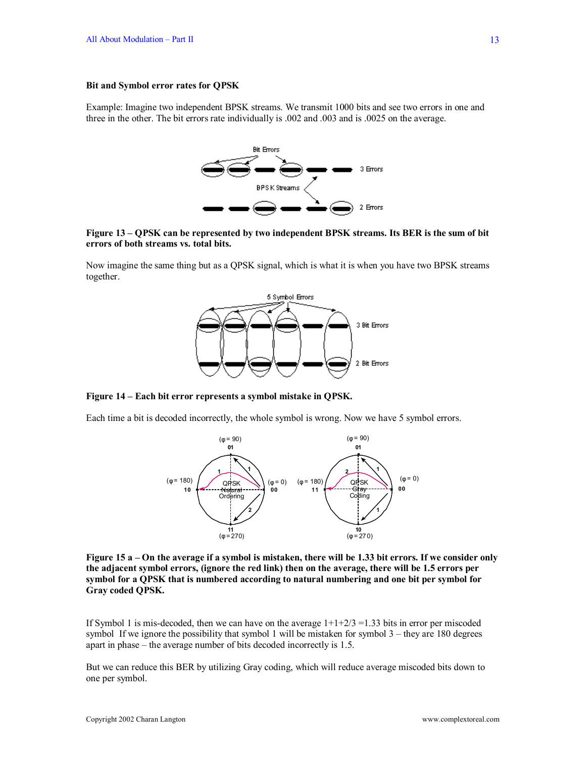#### **Bit and Symbol error rates for QPSK**

Example: Imagine two independent BPSK streams. We transmit 1000 bits and see two errors in one and three in the other. The bit errors rate individually is .002 and .003 and is .0025 on the average.



Figure 13 – QPSK can be represented by two independent BPSK streams. Its BER is the sum of bit **errors of both streams vs. total bits.** 

Now imagine the same thing but as a QPSK signal, which is what it is when you have two BPSK streams together.



#### Figure 14 – Each bit error represents a symbol mistake in QPSK.

Each time a bit is decoded incorrectly, the whole symbol is wrong. Now we have 5 symbol errors.



Figure 15 a – On the average if a symbol is mistaken, there will be 1.33 bit errors. If we consider only **the adjacent symbol errors, (ignore the red link) then on the average, there will be 1.5 errors per symbol for a QPSK that is numbered according to natural numbering and one bit per symbol for Gray coded QPSK.** 

If Symbol 1 is mis-decoded, then we can have on the average  $1+1+2/3 = 1.33$  bits in error per miscoded symbol If we ignore the possibility that symbol 1 will be mistaken for symbol  $3$  – they are 180 degrees apart in phase  $-$  the average number of bits decoded incorrectly is 1.5.

But we can reduce this BER by utilizing Gray coding, which will reduce average miscoded bits down to one per symbol.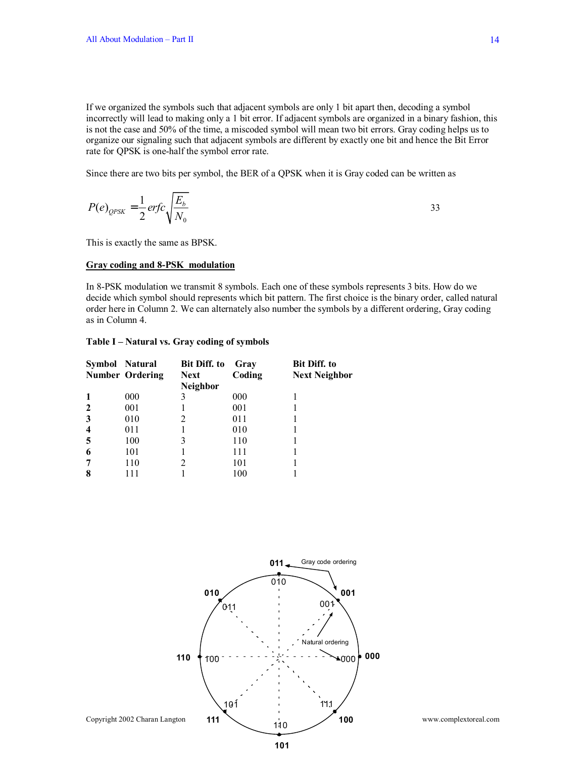If we organized the symbols such that adjacent symbols are only 1 bit apart then, decoding a symbol incorrectly will lead to making only a 1 bit error. If adjacent symbols are organized in a binary fashion, this is not the case and 50% of the time, a miscoded symbol will mean two bit errors. Gray coding helps us to organize our signaling such that adjacent symbols are different by exactly one bit and hence the Bit Error rate for QPSK is one-half the symbol error rate.

Since there are two bits per symbol, the BER of a QPSK when it is Gray coded can be written as

$$
P(e)_{QPSK} = \frac{1}{2} erfc \sqrt{\frac{E_b}{N_0}}
$$

This is exactly the same as BPSK.

### **Gray coding and 8-PSK modulation**

In 8-PSK modulation we transmit 8 symbols. Each one of these symbols represents 3 bits. How do we decide which symbol should represents which bit pattern. The first choice is the binary order, called natural order here in Column 2. We can alternately also number the symbols by a different ordering, Gray coding as in Column 4.

## Table I – Natural vs. Gray coding of symbols

| Symbol Natural | <b>Number Ordering</b> | Bit Diff. to<br><b>Next</b><br><b>Neighbor</b> | Gray<br>Coding | <b>Bit Diff.</b> to<br><b>Next Neighbor</b> |
|----------------|------------------------|------------------------------------------------|----------------|---------------------------------------------|
|                | 000                    | 3                                              | 000            |                                             |
| 2              | 001                    |                                                | 001            |                                             |
| 3              | 010                    |                                                | 011            |                                             |
| 4              | 011                    |                                                | 010            |                                             |
| 5              | 100                    | 3                                              | 110            |                                             |
| 6              | 101                    |                                                | 111            |                                             |
| 7              | 110                    | 2                                              | 101            |                                             |
| 8              |                        |                                                | 100            |                                             |

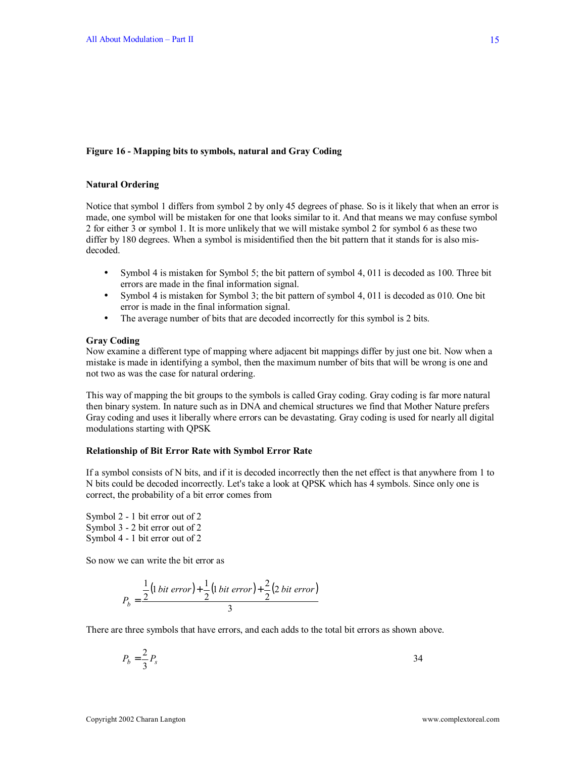#### **Figure 16 - Mapping bits to symbols, natural and Gray Coding**

### **Natural Ordering**

Notice that symbol 1 differs from symbol 2 by only 45 degrees of phase. So is it likely that when an error is made, one symbol will be mistaken for one that looks similar to it. And that means we may confuse symbol 2 for either 3 or symbol 1. It is more unlikely that we will mistake symbol 2 for symbol 6 as these two differ by 180 degrees. When a symbol is misidentified then the bit pattern that it stands for is also misdecoded.

- Symbol 4 is mistaken for Symbol 5; the bit pattern of symbol 4, 011 is decoded as 100. Three bit errors are made in the final information signal.
- Symbol 4 is mistaken for Symbol 3; the bit pattern of symbol 4, 011 is decoded as 010. One bit error is made in the final information signal.
- The average number of bits that are decoded incorrectly for this symbol is 2 bits.

#### **Gray Coding**

Now examine a different type of mapping where adjacent bit mappings differ by just one bit. Now when a mistake is made in identifying a symbol, then the maximum number of bits that will be wrong is one and not two as was the case for natural ordering.

This way of mapping the bit groups to the symbols is called Gray coding. Gray coding is far more natural then binary system. In nature such as in DNA and chemical structures we find that Mother Nature prefers Gray coding and uses it liberally where errors can be devastating. Gray coding is used for nearly all digital modulations starting with QPSK

### **Relationship of Bit Error Rate with Symbol Error Rate**

If a symbol consists of N bits, and if it is decoded incorrectly then the net effect is that anywhere from 1 to N bits could be decoded incorrectly. Let's take a look at QPSK which has 4 symbols. Since only one is correct, the probability of a bit error comes from

Symbol 2 - 1 bit error out of 2 Symbol 3 - 2 bit error out of 2 Symbol 4 - 1 bit error out of 2

So now we can write the bit error as

$$
P_b = \frac{\frac{1}{2} (1 \text{ bit error}) + \frac{1}{2} (1 \text{ bit error}) + \frac{2}{2} (2 \text{ bit error})}{3}
$$

There are three symbols that have errors, and each adds to the total bit errors as shown above.

$$
P_b = \frac{2}{3} P_s \tag{34}
$$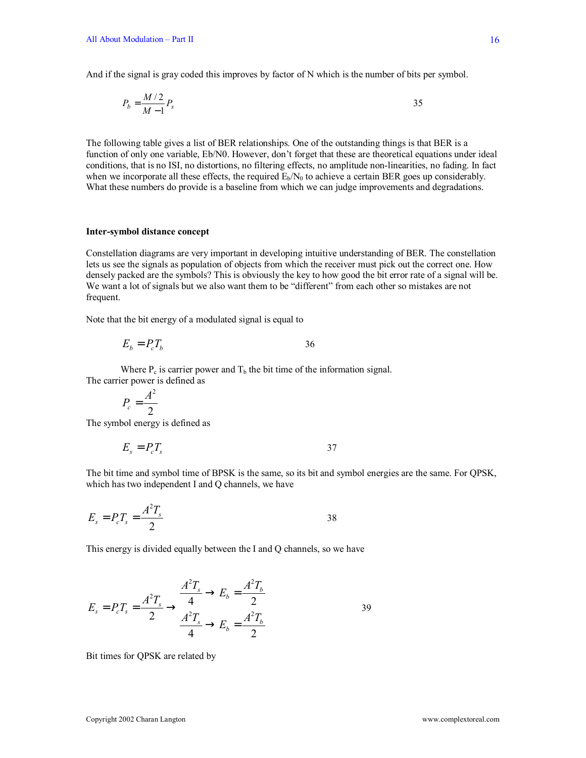And if the signal is gray coded this improves by factor of N which is the number of bits per symbol.

$$
P_b = \frac{M/2}{M-1} P_s
$$

The following table gives a list of BER relationships. One of the outstanding things is that BER is a function of only one variable, Eb/N0. However, don't forget that these are theoretical equations under ideal conditions, that is no ISI, no distortions, no filtering effects, no amplitude non-linearities, no fading. In fact when we incorporate all these effects, the required  $E_b/N_0$  to achieve a certain BER goes up considerably. What these numbers do provide is a baseline from which we can judge improvements and degradations.

#### **Inter-symbol distance concept**

Constellation diagrams are very important in developing intuitive understanding of BER. The constellation lets us see the signals as population of objects from which the receiver must pick out the correct one. How densely packed are the symbols? This is obviously the key to how good the bit error rate of a signal will be. We want a lot of signals but we also want them to be "different" from each other so mistakes are not frequent.

Note that the bit energy of a modulated signal is equal to

$$
E_b = P_c T_b \tag{36}
$$

Where  $P_c$  is carrier power and  $T_b$  the bit time of the information signal. The carrier power is defined as

$$
P_c = \frac{A^2}{2}
$$

The symbol energy is defined as

$$
E_s = P_c T_s \tag{37}
$$

The bit time and symbol time of BPSK is the same, so its bit and symbol energies are the same. For QPSK, which has two independent I and Q channels, we have

$$
E_s = P_c T_s = \frac{A^2 T_s}{2} \tag{38}
$$

This energy is divided equally between the I and Q channels, so we have

$$
E_s = P_c T_s = \frac{A^2 T_s}{2} \rightarrow \frac{A^2 T_s}{4} \rightarrow E_b = \frac{A^2 T_b}{2}
$$
  

$$
\frac{A^2 T_s}{4} \rightarrow E_b = \frac{A^2 T_b}{2}
$$

Bit times for QPSK are related by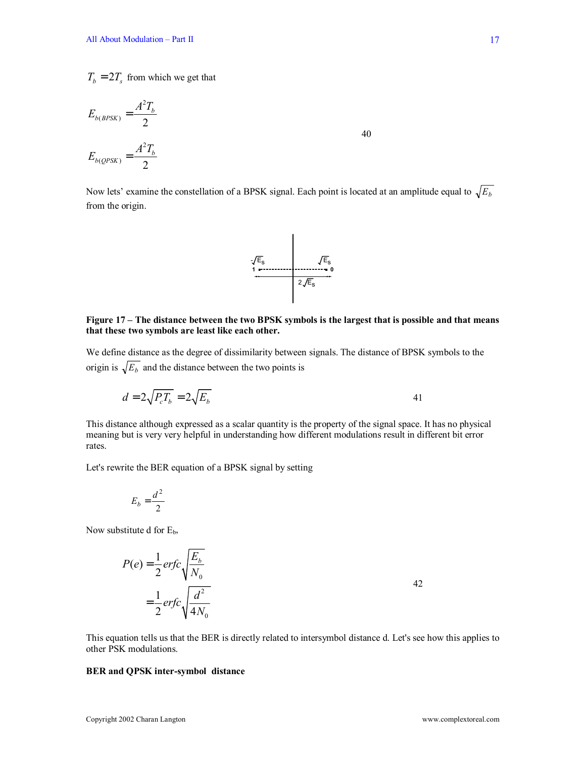$$
E_{b(BPSK)} = \frac{A^2 T_b}{2}
$$
  

$$
E_{b(QPSK)} = \frac{A^2 T_b}{2}
$$

Now lets' examine the constellation of a BPSK signal. Each point is located at an amplitude equal to  $\sqrt{E_b}$ from the origin.



## Figure 17 – The distance between the two BPSK symbols is the largest that is possible and that means **that these two symbols are least like each other.**

We define distance as the degree of dissimilarity between signals. The distance of BPSK symbols to the origin is  $\sqrt{E_b}$  and the distance between the two points is

$$
d = 2\sqrt{P_c T_b} = 2\sqrt{E_b}
$$

This distance although expressed as a scalar quantity is the property of the signal space. It has no physical meaning but is very very helpful in understanding how different modulations result in different bit error rates.

Let's rewrite the BER equation of a BPSK signal by setting

$$
E_b=\frac{d^2}{2}
$$

Now substitute d for  $E_b$ ,

$$
P(e) = \frac{1}{2} erfc \sqrt{\frac{E_b}{N_0}}
$$
  
=  $\frac{1}{2} erfc \sqrt{\frac{d^2}{4N_0}}$  42

This equation tells us that the BER is directly related to intersymbol distance d. Let's see how this applies to other PSK modulations.

# **BER and QPSK inter-symbol distance**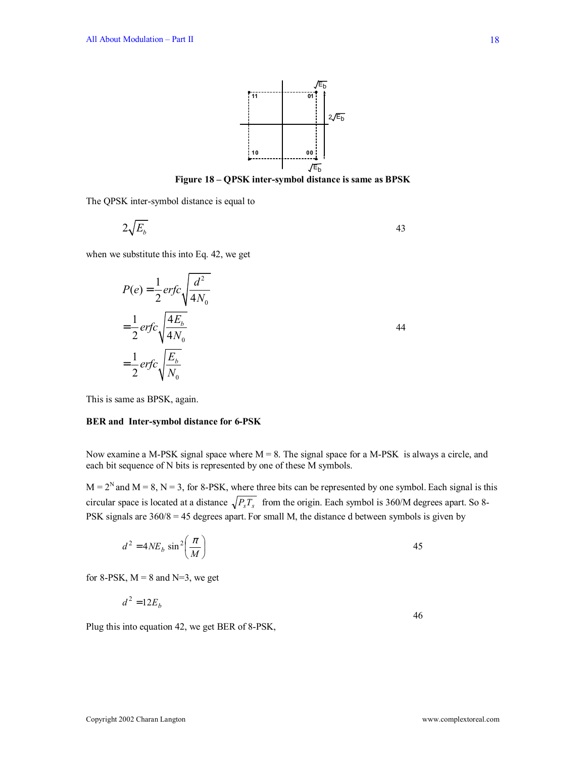

Figure 18 – QPSK inter-symbol distance is same as BPSK

The QPSK inter-symbol distance is equal to

$$
2\sqrt{E_b} \tag{43}
$$

when we substitute this into Eq. 42, we get

$$
P(e) = \frac{1}{2} erfc \sqrt{\frac{d^2}{4N_0}}
$$
  
=  $\frac{1}{2} erfc \sqrt{\frac{4E_b}{4N_0}}$   
=  $\frac{1}{2} erfc \sqrt{\frac{E_b}{N_0}}$  44

This is same as BPSK, again.

### **BER and Inter-symbol distance for 6-PSK**

Now examine a M-PSK signal space where  $M = 8$ . The signal space for a M-PSK is always a circle, and each bit sequence of N bits is represented by one of these M symbols.

 $M = 2<sup>N</sup>$  and  $M = 8$ ,  $N = 3$ , for 8-PSK, where three bits can be represented by one symbol. Each signal is this circular space is located at a distance  $\sqrt{P_sT_s}$  from the origin. Each symbol is 360/M degrees apart. So 8-PSK signals are 360/8 = 45 degrees apart. For small M, the distance d between symbols is given by

$$
d^2 = 4NE_b \sin^2\left(\frac{\pi}{M}\right) \tag{45}
$$

for 8-PSK,  $M = 8$  and N=3, we get

$$
d^2 = 12E_b
$$

Plug this into equation 42, we get BER of 8-PSK,

46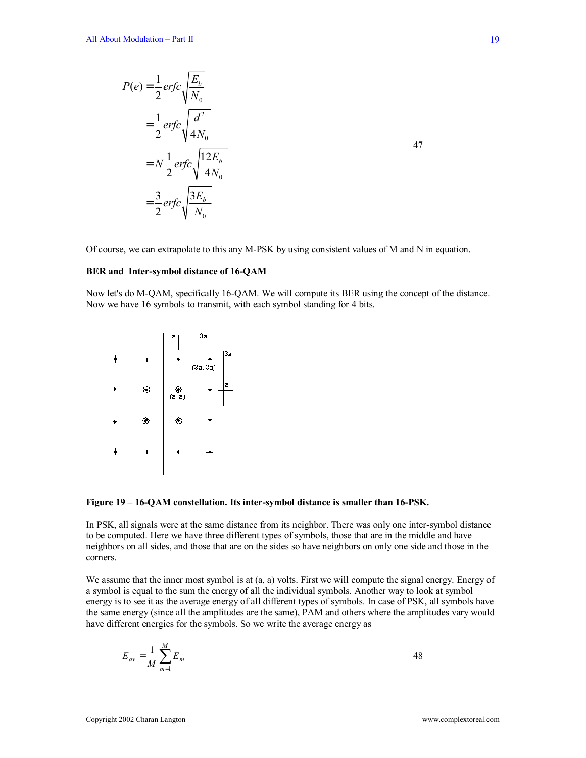$$
P(e) = \frac{1}{2} erfc \sqrt{\frac{E_b}{N_0}}
$$
  
=  $\frac{1}{2} erfc \sqrt{\frac{d^2}{4N_0}}$   
=  $N \frac{1}{2} erfc \sqrt{\frac{12E_b}{4N_0}}$   
=  $\frac{3}{2} erfc \sqrt{\frac{3E_b}{N_0}}$ 

Of course, we can extrapolate to this any M-PSK by using consistent values of M and N in equation.

## **BER and Inter-symbol distance of 16-QAM**

Now let's do M-QAM, specifically 16-QAM. We will compute its BER using the concept of the distance. Now we have 16 symbols to transmit, with each symbol standing for 4 bits.



# Figure 19 – 16-QAM constellation. Its inter-symbol distance is smaller than 16-PSK.

In PSK, all signals were at the same distance from its neighbor. There was only one inter-symbol distance to be computed. Here we have three different types of symbols, those that are in the middle and have neighbors on all sides, and those that are on the sides so have neighbors on only one side and those in the corners.

We assume that the inner most symbol is at (a, a) volts. First we will compute the signal energy. Energy of a symbol is equal to the sum the energy of all the individual symbols. Another way to look at symbol energy is to see it as the average energy of all different types of symbols. In case of PSK, all symbols have the same energy (since all the amplitudes are the same), PAM and others where the amplitudes vary would have different energies for the symbols. So we write the average energy as

$$
E_{av} = \frac{1}{M} \sum_{m=1}^{M} E_m
$$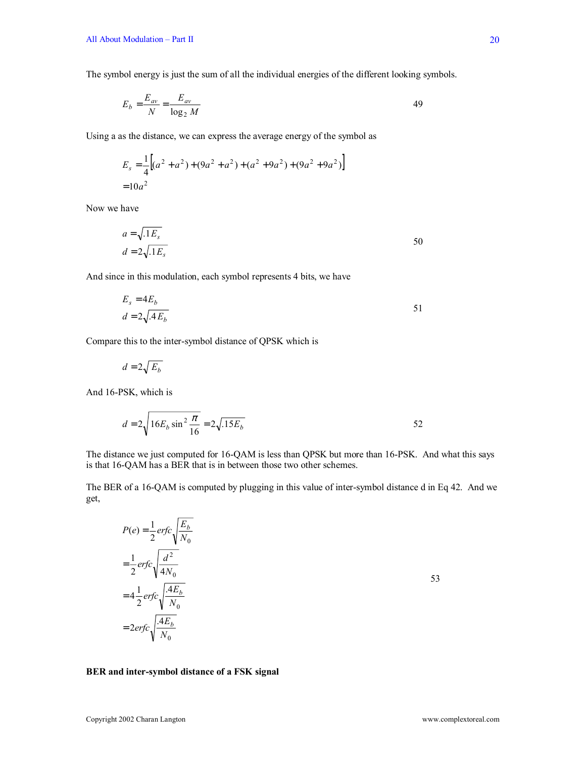The symbol energy is just the sum of all the individual energies of the different looking symbols.

$$
E_b = \frac{E_{av}}{N} = \frac{E_{av}}{\log_2 M}
$$

Using a as the distance, we can express the average energy of the symbol as

$$
E_s = \frac{1}{4} \Big[ (a^2 + a^2) + (9a^2 + a^2) + (a^2 + 9a^2) + (9a^2 + 9a^2) \Big]
$$
  
= 10a<sup>2</sup>

Now we have

$$
a = \sqrt{1E_s}
$$
  

$$
d = 2\sqrt{1E_s}
$$
50

And since in this modulation, each symbol represents 4 bits, we have

$$
E_s = 4E_b
$$
  

$$
d = 2\sqrt{4E_b}
$$
51

Compare this to the inter-symbol distance of QPSK which is

$$
d=2\sqrt{E_b}
$$

And 16-PSK, which is

$$
d = 2\sqrt{16E_b \sin^2 \frac{\pi}{16}} = 2\sqrt{15E_b}
$$
 52

The distance we just computed for 16-QAM is less than QPSK but more than 16-PSK. And what this says is that 16-QAM has a BER that is in between those two other schemes.

The BER of a 16-QAM is computed by plugging in this value of inter-symbol distance d in Eq 42. And we get,

$$
P(e) = \frac{1}{2} erfc \sqrt{\frac{E_b}{N_0}}
$$

$$
= \frac{1}{2} erfc \sqrt{\frac{d^2}{4N_0}}
$$

$$
= 4 \frac{1}{2} erfc \sqrt{\frac{4E_b}{N_0}}
$$

$$
= 2 erfc \sqrt{\frac{4E_b}{N_0}}
$$

53

# **BER and inter-symbol distance of a FSK signal**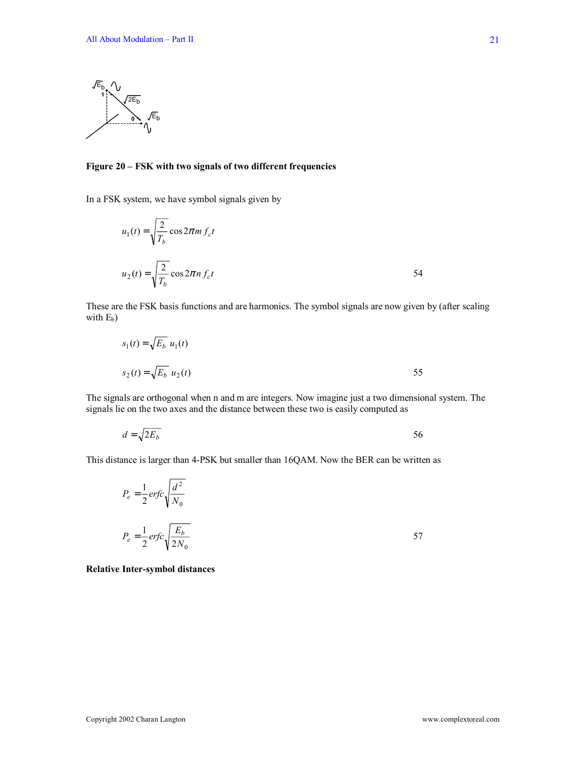

### Figure 20 – FSK with two signals of two different frequencies

In a FSK system, we have symbol signals given by

$$
u_1(t) = \sqrt{\frac{2}{T_b}} \cos 2\pi m f_c t
$$
  

$$
u_2(t) = \sqrt{\frac{2}{T_b}} \cos 2\pi n f_c t
$$

These are the FSK basis functions and are harmonics. The symbol signals are now given by (after scaling with  $E_b$ )

$$
s_1(t) = \sqrt{E_b} u_1(t)
$$
  

$$
s_2(t) = \sqrt{E_b} u_2(t)
$$

The signals are orthogonal when n and m are integers. Now imagine just a two dimensional system. The signals lie on the two axes and the distance between these two is easily computed as

$$
d = \sqrt{2E_b} \tag{56}
$$

This distance is larger than 4-PSK but smaller than 16QAM. Now the BER can be written as

$$
P_e = \frac{1}{2} erfc \sqrt{\frac{d^2}{N_0}}
$$
  

$$
P_e = \frac{1}{2} erfc \sqrt{\frac{E_b}{2N_0}}
$$

**Relative Inter-symbol distances**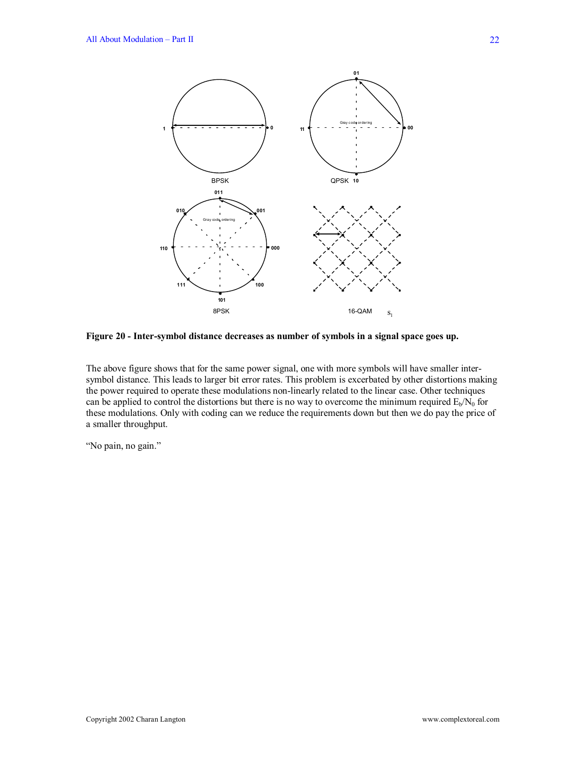

**Figure 20 - Inter-symbol distance decreases as number of symbols in a signal space goes up.** 

The above figure shows that for the same power signal, one with more symbols will have smaller intersymbol distance. This leads to larger bit error rates. This problem is excerbated by other distortions making the power required to operate these modulations non-linearly related to the linear case. Other techniques can be applied to control the distortions but there is no way to overcome the minimum required  $E_b/N_0$  for these modulations. Only with coding can we reduce the requirements down but then we do pay the price of a smaller throughput.

"No pain, no gain."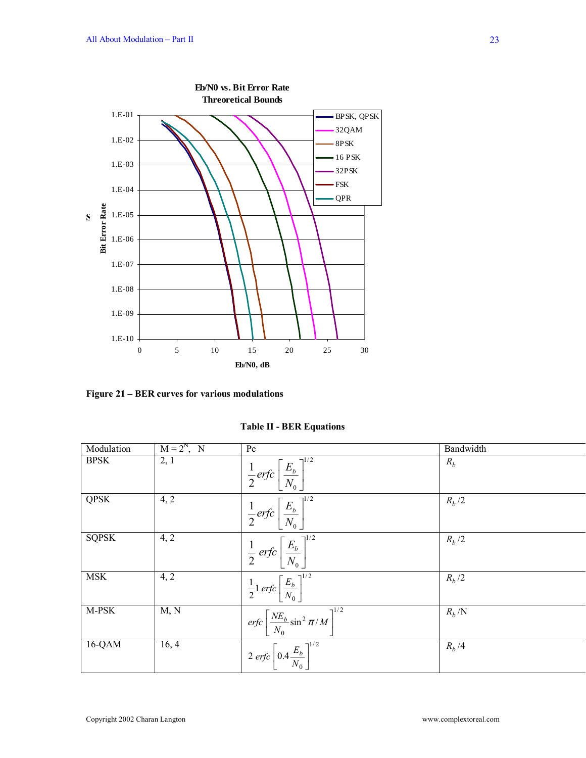

Figure 21 – BER curves for various modulations

**Table II - BER Equations** 

| Modulation   | $M = 2^N$ , N | Pe                                                              | Bandwidth |
|--------------|---------------|-----------------------------------------------------------------|-----------|
| <b>BPSK</b>  | 2, 1          | $\frac{1}{2} erfc\left[\frac{E_b}{N_0}\right]^{1/2}$            | $R_h$     |
| <b>QPSK</b>  | 4, 2          | $\frac{1}{2} erfc\left[\frac{E_b}{N_0}\right]^{1/2}$            | $R_h/2$   |
| <b>SQPSK</b> | 4, 2          | $\frac{1}{2}$ erfc $\left[\frac{E_b}{N_0}\right]^{1/2}$         | $R_h/2$   |
| <b>MSK</b>   | 4, 2          | $\frac{1}{2}1 \, \text{erfc}\left[\frac{E_b}{N_0}\right]^{1/2}$ | $R_h/2$   |
| M-PSK        | M, N          | erfc $\left[\frac{NE_b}{N_0}\sin^2\pi/M\right]^{1/2}$           | $R_h/N$   |
| 16-QAM       | 16, 4         | 2 erfc $\left[0.4 \frac{E_b}{N_0}\right]^{1/2}$                 | $R_h/4$   |